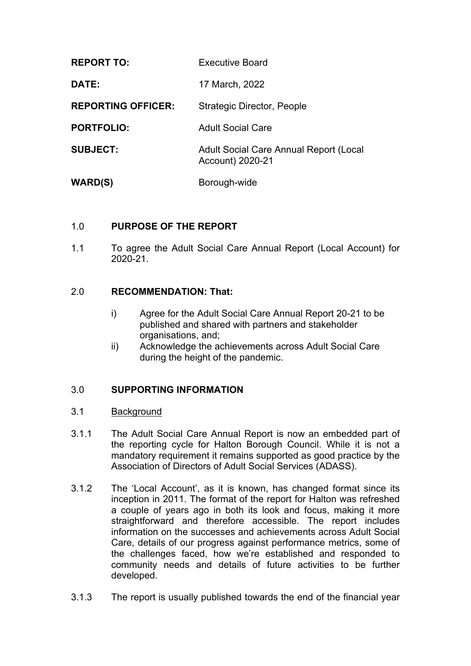| <b>REPORT TO:</b>         | <b>Executive Board</b>                                            |
|---------------------------|-------------------------------------------------------------------|
| DATE:                     | 17 March, 2022                                                    |
| <b>REPORTING OFFICER:</b> | <b>Strategic Director, People</b>                                 |
| <b>PORTFOLIO:</b>         | <b>Adult Social Care</b>                                          |
| <b>SUBJECT:</b>           | <b>Adult Social Care Annual Report (Local</b><br>Account) 2020-21 |
| <b>WARD(S)</b>            | Borough-wide                                                      |

# 1.0 **PURPOSE OF THE REPORT**

1.1 To agree the Adult Social Care Annual Report (Local Account) for 2020-21.

#### 2.0 **RECOMMENDATION: That:**

- i) Agree for the Adult Social Care Annual Report 20-21 to be published and shared with partners and stakeholder organisations, and;
- ii) Acknowledge the achievements across Adult Social Care during the height of the pandemic.

#### 3.0 **SUPPORTING INFORMATION**

#### 3.1 **Background**

- 3.1.1 The Adult Social Care Annual Report is now an embedded part of the reporting cycle for Halton Borough Council. While it is not a mandatory requirement it remains supported as good practice by the Association of Directors of Adult Social Services (ADASS).
- 3.1.2 The 'Local Account', as it is known, has changed format since its inception in 2011. The format of the report for Halton was refreshed a couple of years ago in both its look and focus, making it more straightforward and therefore accessible. The report includes information on the successes and achievements across Adult Social Care, details of our progress against performance metrics, some of the challenges faced, how we're established and responded to community needs and details of future activities to be further developed.
- 3.1.3 The report is usually published towards the end of the financial year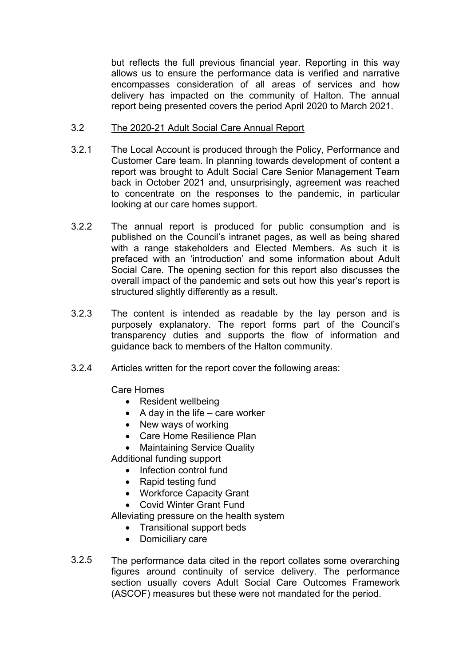but reflects the full previous financial year. Reporting in this way allows us to ensure the performance data is verified and narrative encompasses consideration of all areas of services and how delivery has impacted on the community of Halton. The annual report being presented covers the period April 2020 to March 2021.

- 3.2 The 2020-21 Adult Social Care Annual Report
- 3.2.1 The Local Account is produced through the Policy, Performance and Customer Care team. In planning towards development of content a report was brought to Adult Social Care Senior Management Team back in October 2021 and, unsurprisingly, agreement was reached to concentrate on the responses to the pandemic, in particular looking at our care homes support.
- 3.2.2 The annual report is produced for public consumption and is published on the Council's intranet pages, as well as being shared with a range stakeholders and Elected Members. As such it is prefaced with an 'introduction' and some information about Adult Social Care. The opening section for this report also discusses the overall impact of the pandemic and sets out how this year's report is structured slightly differently as a result.
- 3.2.3 The content is intended as readable by the lay person and is purposely explanatory. The report forms part of the Council's transparency duties and supports the flow of information and guidance back to members of the Halton community.
- 3.2.4 Articles written for the report cover the following areas:

Care Homes

- Resident wellbeing
- $\bullet$  A day in the life care worker
- New ways of working
- Care Home Resilience Plan
- Maintaining Service Quality

Additional funding support

- Infection control fund
- Rapid testing fund
- Workforce Capacity Grant
- Covid Winter Grant Fund

Alleviating pressure on the health system

- Transitional support beds
- Domiciliary care
- 3.2.5 The performance data cited in the report collates some overarching figures around continuity of service delivery. The performance section usually covers Adult Social Care Outcomes Framework (ASCOF) measures but these were not mandated for the period.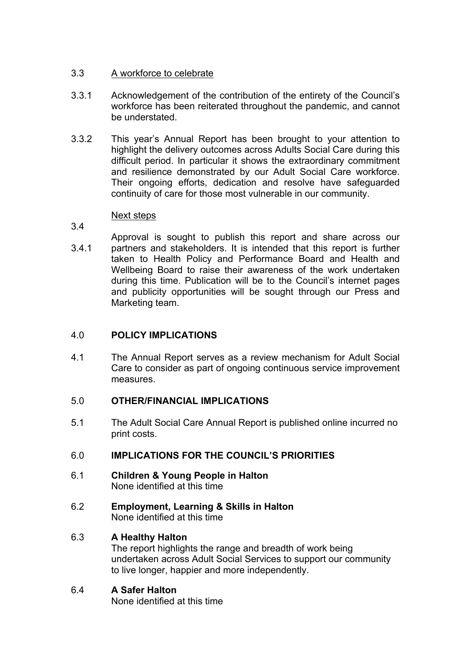#### 3.3 A workforce to celebrate

- 3.3.1 Acknowledgement of the contribution of the entirety of the Council's workforce has been reiterated throughout the pandemic, and cannot be understated.
- 3.3.2 This year's Annual Report has been brought to your attention to highlight the delivery outcomes across Adults Social Care during this difficult period. In particular it shows the extraordinary commitment and resilience demonstrated by our Adult Social Care workforce. Their ongoing efforts, dedication and resolve have safeguarded continuity of care for those most vulnerable in our community.

#### Next steps

- 3.4
- 3.4.1 Approval is sought to publish this report and share across our partners and stakeholders. It is intended that this report is further taken to Health Policy and Performance Board and Health and Wellbeing Board to raise their awareness of the work undertaken during this time. Publication will be to the Council's internet pages and publicity opportunities will be sought through our Press and Marketing team.

# 4.0 **POLICY IMPLICATIONS**

4.1 The Annual Report serves as a review mechanism for Adult Social Care to consider as part of ongoing continuous service improvement measures.

# 5.0 **OTHER/FINANCIAL IMPLICATIONS**

5.1 The Adult Social Care Annual Report is published online incurred no print costs.

# 6.0 **IMPLICATIONS FOR THE COUNCIL'S PRIORITIES**

- 6.1 **Children & Young People in Halton** None identified at this time
- 6.2 **Employment, Learning & Skills in Halton** None identified at this time

# 6.3 **A Healthy Halton**

The report highlights the range and breadth of work being undertaken across Adult Social Services to support our community to live longer, happier and more independently.

# 6.4 **A Safer Halton**

None identified at this time